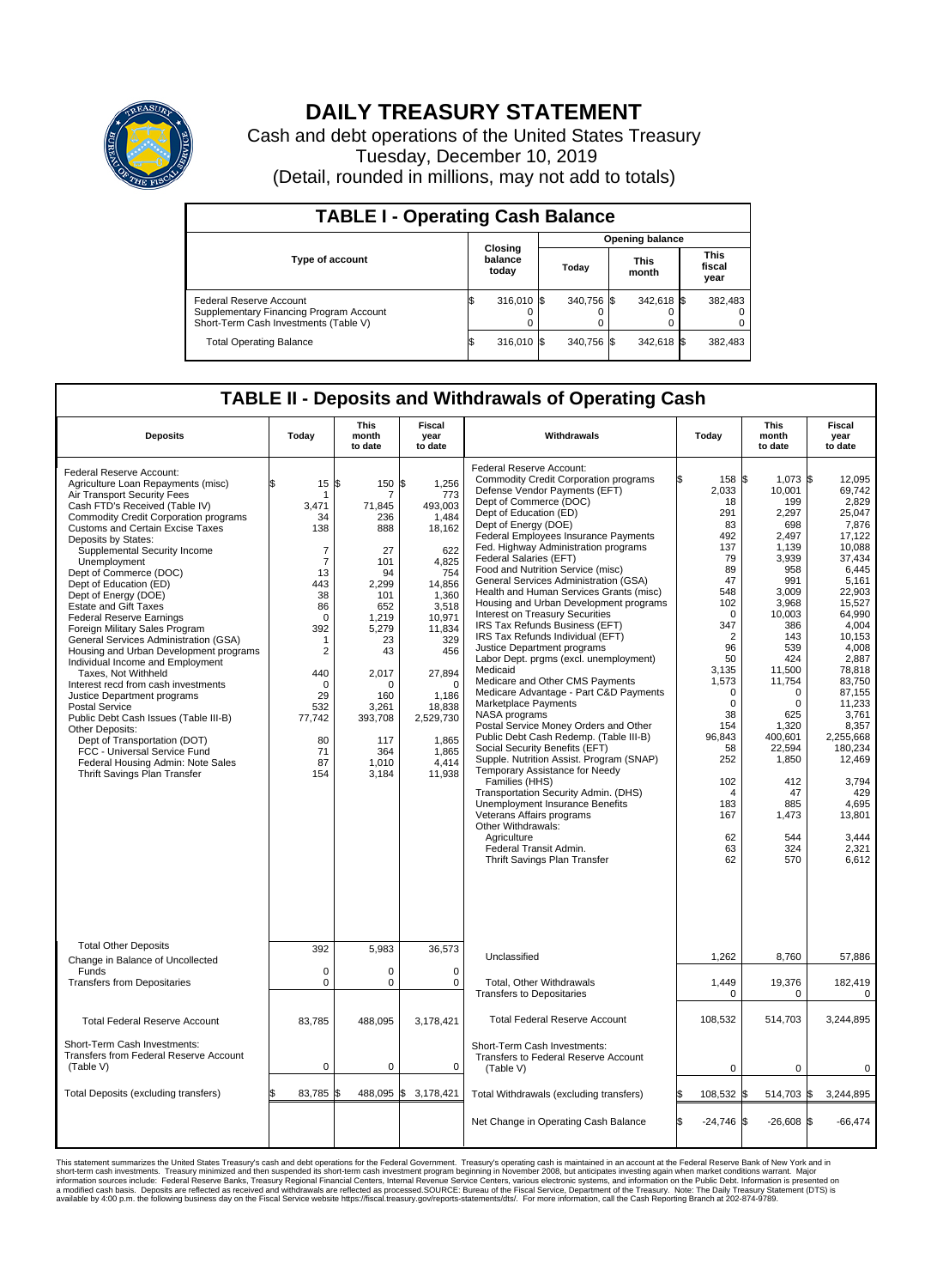

## **DAILY TREASURY STATEMENT**

Cash and debt operations of the United States Treasury Tuesday, December 10, 2019 (Detail, rounded in millions, may not add to totals)

| <b>TABLE I - Operating Cash Balance</b>                                                                     |                             |            |       |                        |                      |            |                               |         |  |  |  |
|-------------------------------------------------------------------------------------------------------------|-----------------------------|------------|-------|------------------------|----------------------|------------|-------------------------------|---------|--|--|--|
|                                                                                                             | Closing<br>balance<br>today |            |       | <b>Opening balance</b> |                      |            |                               |         |  |  |  |
| Type of account                                                                                             |                             |            | Today |                        | <b>This</b><br>month |            | <b>This</b><br>fiscal<br>year |         |  |  |  |
| Federal Reserve Account<br>Supplementary Financing Program Account<br>Short-Term Cash Investments (Table V) |                             | 316,010 \$ |       | 340.756 \$             |                      | 342,618 \$ |                               | 382,483 |  |  |  |
| <b>Total Operating Balance</b>                                                                              | ß.                          | 316,010 \$ |       | 340,756 \$             |                      | 342,618 \$ |                               | 382,483 |  |  |  |

## **TABLE II - Deposits and Withdrawals of Operating Cash**

| <b>Deposits</b>                                                                                                                                                                                                                                                                                                                                                                                                                                                                                                                                                                                                                                                                                                                                                                                                                                                                                                                  | Today                                                                                                                                                                                                 | <b>This</b><br>month<br>to date                                                                                                                                                     | <b>Fiscal</b><br>year<br>to date                                                                                                                                                                                                    | Withdrawals                                                                                                                                                                                                                                                                                                                                                                                                                                                                                                                                                                                                                                                                                                                                                                                                                                                                                                                                                                                                                                                                                                                                                                                                               | Today                                                                                                                                                                                                                                                             | <b>This</b><br>month<br>to date                                                                                                                                                                                                                                                          | <b>Fiscal</b><br>year<br>to date                                                                                                                                                                                                                                                                                          |  |
|----------------------------------------------------------------------------------------------------------------------------------------------------------------------------------------------------------------------------------------------------------------------------------------------------------------------------------------------------------------------------------------------------------------------------------------------------------------------------------------------------------------------------------------------------------------------------------------------------------------------------------------------------------------------------------------------------------------------------------------------------------------------------------------------------------------------------------------------------------------------------------------------------------------------------------|-------------------------------------------------------------------------------------------------------------------------------------------------------------------------------------------------------|-------------------------------------------------------------------------------------------------------------------------------------------------------------------------------------|-------------------------------------------------------------------------------------------------------------------------------------------------------------------------------------------------------------------------------------|---------------------------------------------------------------------------------------------------------------------------------------------------------------------------------------------------------------------------------------------------------------------------------------------------------------------------------------------------------------------------------------------------------------------------------------------------------------------------------------------------------------------------------------------------------------------------------------------------------------------------------------------------------------------------------------------------------------------------------------------------------------------------------------------------------------------------------------------------------------------------------------------------------------------------------------------------------------------------------------------------------------------------------------------------------------------------------------------------------------------------------------------------------------------------------------------------------------------------|-------------------------------------------------------------------------------------------------------------------------------------------------------------------------------------------------------------------------------------------------------------------|------------------------------------------------------------------------------------------------------------------------------------------------------------------------------------------------------------------------------------------------------------------------------------------|---------------------------------------------------------------------------------------------------------------------------------------------------------------------------------------------------------------------------------------------------------------------------------------------------------------------------|--|
| Federal Reserve Account:<br>Agriculture Loan Repayments (misc)<br>Air Transport Security Fees<br>Cash FTD's Received (Table IV)<br><b>Commodity Credit Corporation programs</b><br>Customs and Certain Excise Taxes<br>Deposits by States:<br>Supplemental Security Income<br>Unemployment<br>Dept of Commerce (DOC)<br>Dept of Education (ED)<br>Dept of Energy (DOE)<br><b>Estate and Gift Taxes</b><br><b>Federal Reserve Earnings</b><br>Foreign Military Sales Program<br>General Services Administration (GSA)<br>Housing and Urban Development programs<br>Individual Income and Employment<br>Taxes. Not Withheld<br>Interest recd from cash investments<br>Justice Department programs<br><b>Postal Service</b><br>Public Debt Cash Issues (Table III-B)<br>Other Deposits:<br>Dept of Transportation (DOT)<br>FCC - Universal Service Fund<br>Federal Housing Admin: Note Sales<br><b>Thrift Savings Plan Transfer</b> | 15<br>-1<br>3,471<br>34<br>138<br>$\overline{7}$<br>$\overline{7}$<br>13<br>443<br>38<br>86<br>0<br>392<br>$\mathbf{1}$<br>$\overline{2}$<br>440<br>0<br>29<br>532<br>77,742<br>80<br>71<br>87<br>154 | 1\$<br>150<br>71,845<br>236<br>888<br>27<br>101<br>94<br>2,299<br>101<br>652<br>1,219<br>5,279<br>23<br>43<br>2,017<br>0<br>160<br>3,261<br>393,708<br>117<br>364<br>1,010<br>3,184 | \$<br>1,256<br>773<br>493,003<br>1,484<br>18,162<br>622<br>4,825<br>754<br>14,856<br>1,360<br>3,518<br>10,971<br>11,834<br>329<br>456<br>27,894<br>$\mathbf 0$<br>1,186<br>18,838<br>2,529,730<br>1,865<br>1,865<br>4,414<br>11,938 | Federal Reserve Account:<br><b>Commodity Credit Corporation programs</b><br>Defense Vendor Payments (EFT)<br>Dept of Commerce (DOC)<br>Dept of Education (ED)<br>Dept of Energy (DOE)<br><b>Federal Employees Insurance Payments</b><br>Fed. Highway Administration programs<br>Federal Salaries (EFT)<br>Food and Nutrition Service (misc)<br>General Services Administration (GSA)<br>Health and Human Services Grants (misc)<br>Housing and Urban Development programs<br>Interest on Treasury Securities<br>IRS Tax Refunds Business (EFT)<br>IRS Tax Refunds Individual (EFT)<br>Justice Department programs<br>Labor Dept. prgms (excl. unemployment)<br>Medicaid<br>Medicare and Other CMS Payments<br>Medicare Advantage - Part C&D Payments<br>Marketplace Payments<br>NASA programs<br>Postal Service Money Orders and Other<br>Public Debt Cash Redemp. (Table III-B)<br>Social Security Benefits (EFT)<br>Supple. Nutrition Assist. Program (SNAP)<br>Temporary Assistance for Needy<br>Families (HHS)<br>Transportation Security Admin. (DHS)<br>Unemployment Insurance Benefits<br>Veterans Affairs programs<br>Other Withdrawals:<br>Agriculture<br>Federal Transit Admin.<br>Thrift Savings Plan Transfer | 158 \$<br>2,033<br>18<br>291<br>83<br>492<br>137<br>79<br>89<br>47<br>548<br>102<br>$\Omega$<br>347<br>$\overline{2}$<br>96<br>50<br>3,135<br>1,573<br>0<br>$\Omega$<br>38<br>154<br>96,843<br>58<br>252<br>102<br>$\overline{4}$<br>183<br>167<br>62<br>63<br>62 | $1,073$ \$<br>10,001<br>199<br>2,297<br>698<br>2.497<br>1.139<br>3,939<br>958<br>991<br>3,009<br>3,968<br>10.003<br>386<br>143<br>539<br>424<br>11,500<br>11,754<br>$\Omega$<br>$\Omega$<br>625<br>1,320<br>400,601<br>22,594<br>1,850<br>412<br>47<br>885<br>1,473<br>544<br>324<br>570 | 12.095<br>69,742<br>2,829<br>25.047<br>7,876<br>17.122<br>10.088<br>37,434<br>6.445<br>5.161<br>22,903<br>15,527<br>64.990<br>4,004<br>10,153<br>4,008<br>2,887<br>78,818<br>83.750<br>87,155<br>11,233<br>3,761<br>8.357<br>2,255,668<br>180,234<br>12,469<br>3,794<br>429<br>4,695<br>13,801<br>3,444<br>2,321<br>6.612 |  |
| <b>Total Other Deposits</b><br>Change in Balance of Uncollected                                                                                                                                                                                                                                                                                                                                                                                                                                                                                                                                                                                                                                                                                                                                                                                                                                                                  | 392                                                                                                                                                                                                   | 5,983                                                                                                                                                                               | 36,573                                                                                                                                                                                                                              | Unclassified                                                                                                                                                                                                                                                                                                                                                                                                                                                                                                                                                                                                                                                                                                                                                                                                                                                                                                                                                                                                                                                                                                                                                                                                              | 1,262                                                                                                                                                                                                                                                             | 8,760                                                                                                                                                                                                                                                                                    | 57,886                                                                                                                                                                                                                                                                                                                    |  |
| Funds<br><b>Transfers from Depositaries</b>                                                                                                                                                                                                                                                                                                                                                                                                                                                                                                                                                                                                                                                                                                                                                                                                                                                                                      | $\mathbf 0$<br>$\pmb{0}$                                                                                                                                                                              | $\Omega$<br>0                                                                                                                                                                       | $\Omega$<br>0                                                                                                                                                                                                                       | Total, Other Withdrawals                                                                                                                                                                                                                                                                                                                                                                                                                                                                                                                                                                                                                                                                                                                                                                                                                                                                                                                                                                                                                                                                                                                                                                                                  |                                                                                                                                                                                                                                                                   |                                                                                                                                                                                                                                                                                          |                                                                                                                                                                                                                                                                                                                           |  |
|                                                                                                                                                                                                                                                                                                                                                                                                                                                                                                                                                                                                                                                                                                                                                                                                                                                                                                                                  |                                                                                                                                                                                                       |                                                                                                                                                                                     |                                                                                                                                                                                                                                     | <b>Transfers to Depositaries</b>                                                                                                                                                                                                                                                                                                                                                                                                                                                                                                                                                                                                                                                                                                                                                                                                                                                                                                                                                                                                                                                                                                                                                                                          | 1,449<br>$\mathbf 0$                                                                                                                                                                                                                                              | 19,376<br>$\mathbf 0$                                                                                                                                                                                                                                                                    | 182,419<br>$\pmb{0}$                                                                                                                                                                                                                                                                                                      |  |
| <b>Total Federal Reserve Account</b>                                                                                                                                                                                                                                                                                                                                                                                                                                                                                                                                                                                                                                                                                                                                                                                                                                                                                             | 83,785                                                                                                                                                                                                | 488,095                                                                                                                                                                             | 3,178,421                                                                                                                                                                                                                           | <b>Total Federal Reserve Account</b>                                                                                                                                                                                                                                                                                                                                                                                                                                                                                                                                                                                                                                                                                                                                                                                                                                                                                                                                                                                                                                                                                                                                                                                      | 108,532                                                                                                                                                                                                                                                           | 514,703                                                                                                                                                                                                                                                                                  | 3,244,895                                                                                                                                                                                                                                                                                                                 |  |
| Short-Term Cash Investments:<br>Transfers from Federal Reserve Account<br>(Table V)                                                                                                                                                                                                                                                                                                                                                                                                                                                                                                                                                                                                                                                                                                                                                                                                                                              | 0                                                                                                                                                                                                     | 0                                                                                                                                                                                   | 0                                                                                                                                                                                                                                   | Short-Term Cash Investments:<br>Transfers to Federal Reserve Account<br>(Table V)                                                                                                                                                                                                                                                                                                                                                                                                                                                                                                                                                                                                                                                                                                                                                                                                                                                                                                                                                                                                                                                                                                                                         | $\mathbf 0$                                                                                                                                                                                                                                                       | 0                                                                                                                                                                                                                                                                                        | 0                                                                                                                                                                                                                                                                                                                         |  |
| Total Deposits (excluding transfers)                                                                                                                                                                                                                                                                                                                                                                                                                                                                                                                                                                                                                                                                                                                                                                                                                                                                                             | 83,785                                                                                                                                                                                                | 488,095<br>\$                                                                                                                                                                       | \$<br>3,178,421                                                                                                                                                                                                                     | Total Withdrawals (excluding transfers)                                                                                                                                                                                                                                                                                                                                                                                                                                                                                                                                                                                                                                                                                                                                                                                                                                                                                                                                                                                                                                                                                                                                                                                   | 108,532 \$                                                                                                                                                                                                                                                        | 514,703 \$                                                                                                                                                                                                                                                                               | 3,244,895                                                                                                                                                                                                                                                                                                                 |  |
|                                                                                                                                                                                                                                                                                                                                                                                                                                                                                                                                                                                                                                                                                                                                                                                                                                                                                                                                  |                                                                                                                                                                                                       |                                                                                                                                                                                     |                                                                                                                                                                                                                                     | Net Change in Operating Cash Balance                                                                                                                                                                                                                                                                                                                                                                                                                                                                                                                                                                                                                                                                                                                                                                                                                                                                                                                                                                                                                                                                                                                                                                                      | $-24,746$ \$                                                                                                                                                                                                                                                      | $-26,608$ \$                                                                                                                                                                                                                                                                             | $-66,474$                                                                                                                                                                                                                                                                                                                 |  |

This statement summarizes the United States Treasury's cash and debt operations for the Federal Government. Treasury soperating in November 2008, but anticiarded in a cocount at the Federal metaformation sources investment